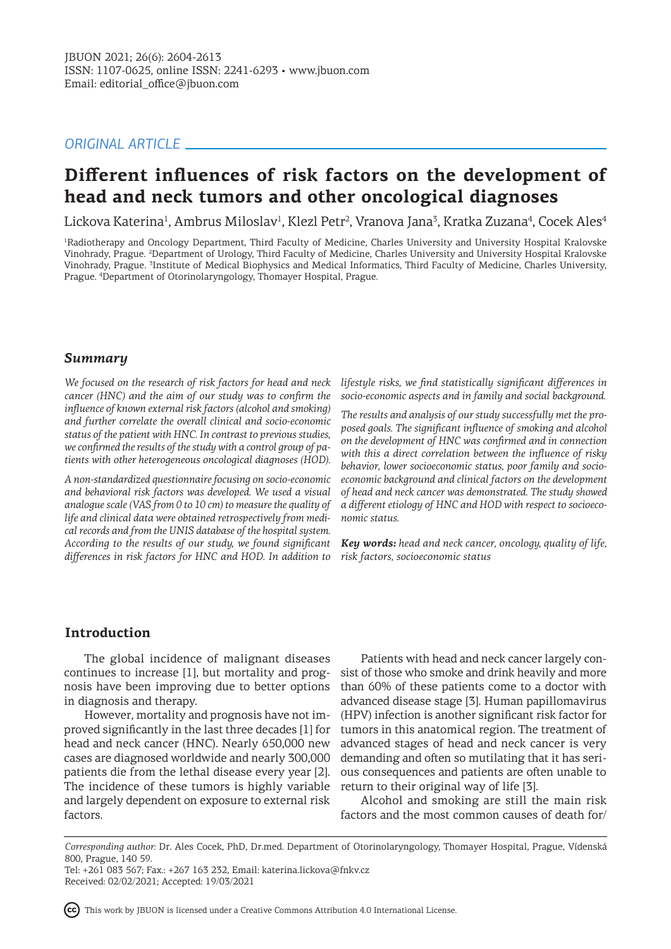# *ORIGINAL ARTICLE*

# **Different influences of risk factors on the development of head and neck tumors and other oncological diagnoses**

Lickova Katerina<sup>1</sup>, Ambrus Miloslav<sup>1</sup>, Klezl Petr<sup>2</sup>, Vranova Jana<sup>3</sup>, Kratka Zuzana<sup>4</sup>, Cocek Ales<sup>4</sup>

1 Radiotherapy and Oncology Department, Third Faculty of Medicine, Charles University and University Hospital Kralovske Vinohrady, Prague. <sup>2</sup>Department of Urology, Third Faculty of Medicine, Charles University and University Hospital Kralovske Vinohrady, Prague. <sup>3</sup>Institute of Medical Biophysics and Medical Informatics, Third Faculty of Medicine, Charles University, Prague. <sup>4</sup> Department of Otorinolaryngology, Thomayer Hospital, Prague.

## *Summary*

*We focused on the research of risk factors for head and neck cancer (HNC) and the aim of our study was to confirm the influence of known external risk factors (alcohol and smoking) and further correlate the overall clinical and socio-economic status of the patient with HNC. In contrast to previous studies, we confirmed the results of the study with a control group of patients with other heterogeneous oncological diagnoses (HOD).* 

*A non-standardized questionnaire focusing on socio-economic and behavioral risk factors was developed. We used a visual analogue scale (VAS from 0 to 10 cm) to measure the quality of life and clinical data were obtained retrospectively from medical records and from the UNIS database of the hospital system. According to the results of our study, we found significant differences in risk factors for HNC and HOD. In addition to* 

*lifestyle risks, we find statistically significant differences in socio-economic aspects and in family and social background.*

*The results and analysis of our study successfully met the proposed goals. The significant influence of smoking and alcohol on the development of HNC was confirmed and in connection with this a direct correlation between the influence of risky behavior, lower socioeconomic status, poor family and socioeconomic background and clinical factors on the development of head and neck cancer was demonstrated. The study showed a different etiology of HNC and HOD with respect to socioeconomic status.*

*Key words: head and neck cancer, oncology, quality of life, risk factors, socioeconomic status*

## **Introduction**

The global incidence of malignant diseases continues to increase [1], but mortality and prognosis have been improving due to better options in diagnosis and therapy.

However, mortality and prognosis have not improved significantly in the last three decades [1] for head and neck cancer (HNC). Nearly 650,000 new cases are diagnosed worldwide and nearly 300,000 patients die from the lethal disease every year [2]. The incidence of these tumors is highly variable and largely dependent on exposure to external risk factors.

Patients with head and neck cancer largely consist of those who smoke and drink heavily and more than 60% of these patients come to a doctor with advanced disease stage [3]. Human papillomavirus (HPV) infection is another significant risk factor for tumors in this anatomical region. The treatment of advanced stages of head and neck cancer is very demanding and often so mutilating that it has serious consequences and patients are often unable to return to their original way of life [3].

Alcohol and smoking are still the main risk factors and the most common causes of death for/

This work by JBUON is licensed under a Creative Commons Attribution 4.0 International License.

*Corresponding author:* Dr. Ales Cocek, PhD, Dr.med. Department of Otorinolaryngology, Thomayer Hospital, Prague, Vídenská 800, Prague, 140 59.

Tel: +261 083 567; Fax.: +267 163 232, Email: katerina.lickova@fnkv.cz Received: 02/02/2021; Accepted: 19/03/2021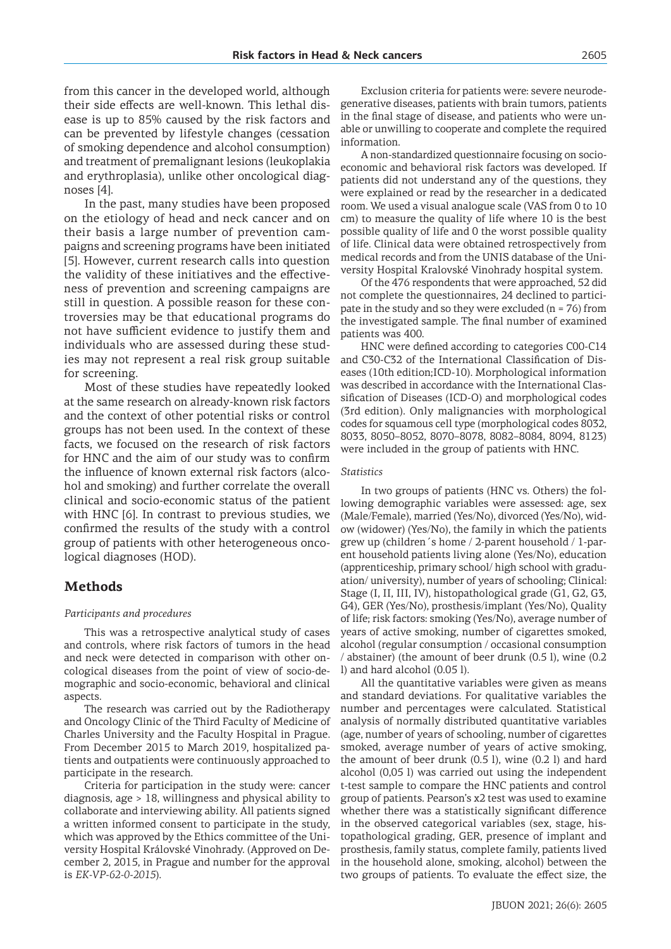from this cancer in the developed world, although their side effects are well-known. This lethal disease is up to 85% caused by the risk factors and can be prevented by lifestyle changes (cessation of smoking dependence and alcohol consumption) and treatment of premalignant lesions (leukoplakia and erythroplasia), unlike other oncological diagnoses [4].

In the past, many studies have been proposed on the etiology of head and neck cancer and on their basis a large number of prevention campaigns and screening programs have been initiated [5]. However, current research calls into question the validity of these initiatives and the effectiveness of prevention and screening campaigns are still in question. A possible reason for these controversies may be that educational programs do not have sufficient evidence to justify them and individuals who are assessed during these studies may not represent a real risk group suitable for screening.

Most of these studies have repeatedly looked at the same research on already-known risk factors and the context of other potential risks or control groups has not been used. In the context of these facts, we focused on the research of risk factors for HNC and the aim of our study was to confirm the influence of known external risk factors (alcohol and smoking) and further correlate the overall clinical and socio-economic status of the patient with HNC [6]. In contrast to previous studies, we confirmed the results of the study with a control group of patients with other heterogeneous oncological diagnoses (HOD).

## **Methods**

#### *Participants and procedures*

This was a retrospective analytical study of cases and controls, where risk factors of tumors in the head and neck were detected in comparison with other oncological diseases from the point of view of socio-demographic and socio-economic, behavioral and clinical aspects.

The research was carried out by the Radiotherapy and Oncology Clinic of the Third Faculty of Medicine of Charles University and the Faculty Hospital in Prague. From December 2015 to March 2019, hospitalized patients and outpatients were continuously approached to participate in the research.

Criteria for participation in the study were: cancer diagnosis, age > 18, willingness and physical ability to collaborate and interviewing ability. All patients signed a written informed consent to participate in the study, which was approved by the Ethics committee of the University Hospital Královské Vinohrady. (Approved on December 2, 2015, in Prague and number for the approval is *EK-VP-62-0-2015*).

Exclusion criteria for patients were: severe neurodegenerative diseases, patients with brain tumors, patients in the final stage of disease, and patients who were unable or unwilling to cooperate and complete the required information.

A non-standardized questionnaire focusing on socioeconomic and behavioral risk factors was developed. If patients did not understand any of the questions, they were explained or read by the researcher in a dedicated room. We used a visual analogue scale (VAS from 0 to 10 cm) to measure the quality of life where 10 is the best possible quality of life and 0 the worst possible quality of life. Clinical data were obtained retrospectively from medical records and from the UNIS database of the University Hospital Kralovské Vinohrady hospital system.

Of the 476 respondents that were approached, 52 did not complete the questionnaires, 24 declined to participate in the study and so they were excluded ( $n = 76$ ) from the investigated sample. The final number of examined patients was 400.

HNC were defined according to categories C00-C14 and C30-C32 of the International Classification of Diseases (10th edition;ICD-10). Morphological information was described in accordance with the International Classification of Diseases (ICD-O) and morphological codes (3rd edition). Only malignancies with morphological codes for squamous cell type (morphological codes 8032, 8033, 8050–8052, 8070–8078, 8082–8084, 8094, 8123) were included in the group of patients with HNC.

#### *Statistics*

In two groups of patients (HNC vs. Others) the following demographic variables were assessed: age, sex (Male/Female), married (Yes/No), divorced (Yes/No), widow (widower) (Yes/No), the family in which the patients grew up (children´s home / 2-parent household / 1-parent household patients living alone (Yes/No), education (apprenticeship, primary school/ high school with graduation/ university), number of years of schooling; Clinical: Stage (I, II, III, IV), histopathological grade (G1, G2, G3, G4), GER (Yes/No), prosthesis/implant (Yes/No), Quality of life; risk factors: smoking (Yes/No), average number of years of active smoking, number of cigarettes smoked, alcohol (regular consumption / occasional consumption / abstainer) (the amount of beer drunk (0.5 l), wine (0.2 l) and hard alcohol (0.05 l).

All the quantitative variables were given as means and standard deviations. For qualitative variables the number and percentages were calculated. Statistical analysis of normally distributed quantitative variables (age, number of years of schooling, number of cigarettes smoked, average number of years of active smoking, the amount of beer drunk (0.5 l), wine (0.2 l) and hard alcohol (0,05 l) was carried out using the independent t-test sample to compare the HNC patients and control group of patients. Pearson's x2 test was used to examine whether there was a statistically significant difference in the observed categorical variables (sex, stage, histopathological grading, GER, presence of implant and prosthesis, family status, complete family, patients lived in the household alone, smoking, alcohol) between the two groups of patients. To evaluate the effect size, the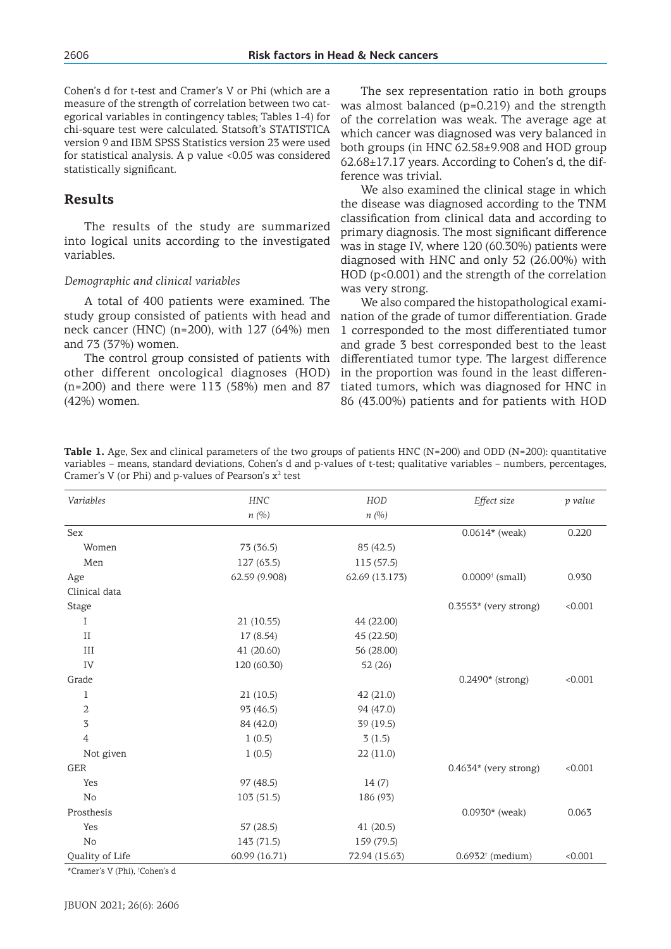Cohen's d for t-test and Cramer's V or Phi (which are a measure of the strength of correlation between two categorical variables in contingency tables; Tables 1-4) for chi-square test were calculated. Statsoft's STATISTICA version 9 and IBM SPSS Statistics version 23 were used for statistical analysis. A p value <0.05 was considered statistically significant.

## **Results**

The results of the study are summarized into logical units according to the investigated variables.

#### *Demographic and clinical variables*

A total of 400 patients were examined. The study group consisted of patients with head and neck cancer (HNC) (n=200), with 127 (64%) men and 73 (37%) women.

The control group consisted of patients with other different oncological diagnoses (HOD) (n=200) and there were 113 (58%) men and 87 (42%) women.

The sex representation ratio in both groups was almost balanced (p=0.219) and the strength of the correlation was weak. The average age at which cancer was diagnosed was very balanced in both groups (in HNC 62.58±9.908 and HOD group 62.68±17.17 years. According to Cohen's d, the difference was trivial.

We also examined the clinical stage in which the disease was diagnosed according to the TNM classification from clinical data and according to primary diagnosis. The most significant difference was in stage IV, where 120 (60.30%) patients were diagnosed with HNC and only 52 (26.00%) with HOD (p<0.001) and the strength of the correlation was very strong.

We also compared the histopathological examination of the grade of tumor differentiation. Grade 1 corresponded to the most differentiated tumor and grade 3 best corresponded best to the least differentiated tumor type. The largest difference in the proportion was found in the least differentiated tumors, which was diagnosed for HNC in 86 (43.00%) patients and for patients with HOD

**Table 1.** Age, Sex and clinical parameters of the two groups of patients HNC (N=200) and ODD (N=200): quantitative variables – means, standard deviations, Cohen's d and p-values of t-test; qualitative variables – numbers, percentages, Cramer's V (or Phi) and p-values of Pearson's  $x^2$  test

| Variables       | <b>HNC</b>    | HOD            | Effect size                   | p value |
|-----------------|---------------|----------------|-------------------------------|---------|
|                 | n(%)          | n(%)           |                               |         |
| Sex             |               |                | $0.0614*$ (weak)              | 0.220   |
| Women           | 73 (36.5)     | 85 (42.5)      |                               |         |
| Men             | 127 (63.5)    | 115 (57.5)     |                               |         |
| Age             | 62.59 (9.908) | 62.69 (13.173) | $0.0009$ <sup>†</sup> (small) | 0.930   |
| Clinical data   |               |                |                               |         |
| <b>Stage</b>    |               |                | $0.3553*$ (very strong)       | < 0.001 |
| I               | 21(10.55)     | 44 (22.00)     |                               |         |
| $\rm II$        | 17 (8.54)     | 45 (22.50)     |                               |         |
| III             | 41 (20.60)    | 56 (28.00)     |                               |         |
| IV              | 120 (60.30)   | 52 (26)        |                               |         |
| Grade           |               |                | 0.2490* (strong)              | < 0.001 |
| $\mathbf{1}$    | 21(10.5)      | 42 (21.0)      |                               |         |
| 2               | 93 (46.5)     | 94 (47.0)      |                               |         |
| 3               | 84 (42.0)     | 39(19.5)       |                               |         |
| $\overline{4}$  | 1(0.5)        | 3(1.5)         |                               |         |
| Not given       | 1(0.5)        | 22(11.0)       |                               |         |
| GER             |               |                | $0.4634*$ (very strong)       | < 0.001 |
| Yes             | 97 (48.5)     | 14(7)          |                               |         |
| No              | 103(51.5)     | 186 (93)       |                               |         |
| Prosthesis      |               |                | $0.0930*$ (weak)              | 0.063   |
| Yes             | 57(28.5)      | 41(20.5)       |                               |         |
| No              | 143 (71.5)    | 159 (79.5)     |                               |         |
| Quality of Life | 60.99 (16.71) | 72.94 (15.63)  | $0.6932^{\dagger}$ (medium)   | < 0.001 |

\*Cramer's V (Phi), † Cohen's d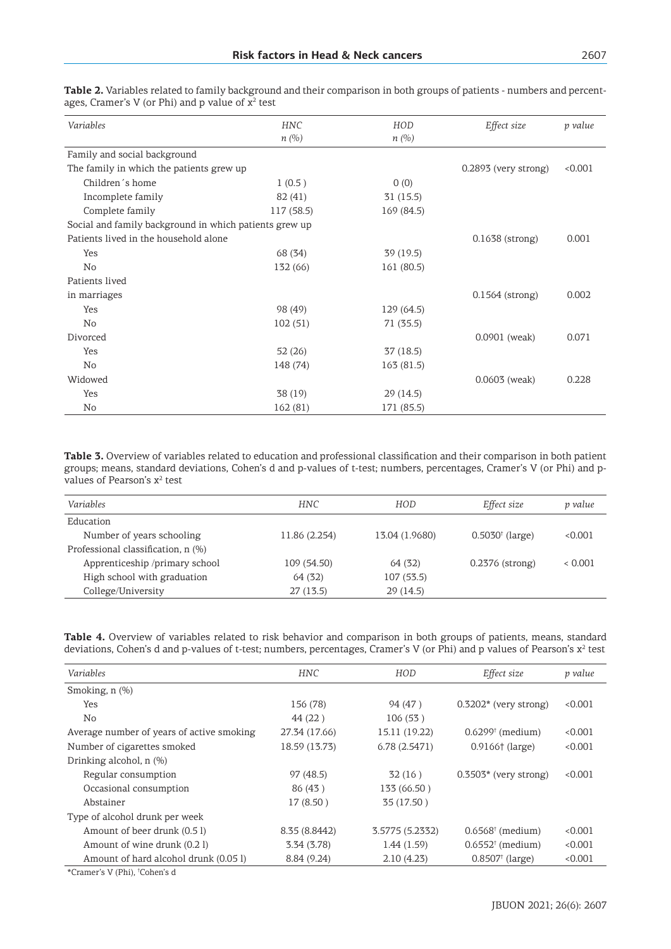| Variables                                              | <b>HNC</b><br>n(%) | HOD<br>$n(\%)$ | Effect size            | p value |
|--------------------------------------------------------|--------------------|----------------|------------------------|---------|
| Family and social background                           |                    |                |                        |         |
| The family in which the patients grew up               |                    |                | $0.2893$ (very strong) | < 0.001 |
| Children's home                                        | 1(0.5)             | 0(0)           |                        |         |
| Incomplete family                                      | 82 (41)            | 31(15.5)       |                        |         |
| Complete family                                        | 117 (58.5)         | 169 (84.5)     |                        |         |
| Social and family background in which patients grew up |                    |                |                        |         |
| Patients lived in the household alone                  |                    |                | $0.1638$ (strong)      | 0.001   |
| Yes                                                    | 68 (34)            | 39(19.5)       |                        |         |
| No                                                     | 132 (66)           | 161 (80.5)     |                        |         |
| Patients lived                                         |                    |                |                        |         |
| in marriages                                           |                    |                | $0.1564$ (strong)      | 0.002   |
| Yes                                                    | 98 (49)            | 129(64.5)      |                        |         |
| No                                                     | 102(51)            | 71 (35.5)      |                        |         |
| Divorced                                               |                    |                | $0.0901$ (weak)        | 0.071   |
| Yes                                                    | 52(26)             | 37(18.5)       |                        |         |
| No                                                     | 148 (74)           | 163 (81.5)     |                        |         |
| Widowed                                                |                    |                | $0.0603$ (weak)        | 0.228   |
| Yes                                                    | 38 (19)            | 29(14.5)       |                        |         |
| No                                                     | 162(81)            | 171 (85.5)     |                        |         |

**Table 2.** Variables related to family background and their comparison in both groups of patients - numbers and percentages, Cramer's V (or Phi) and p value of  $x^2$  test

**Table 3.** Overview of variables related to education and professional classification and their comparison in both patient groups; means, standard deviations, Cohen's d and p-values of t-test; numbers, percentages, Cramer's V (or Phi) and pvalues of Pearson's x<sup>2</sup> test

| <i>Variables</i>                   | <b>HNC</b>    | HOD            | Effect size                | p value |
|------------------------------------|---------------|----------------|----------------------------|---------|
| Education                          |               |                |                            |         |
| Number of years schooling          | 11.86 (2.254) | 13.04 (1.9680) | $0.5030^{\dagger}$ (large) | < 0.001 |
| Professional classification, n (%) |               |                |                            |         |
| Apprenticeship /primary school     | 109 (54.50)   | 64(32)         | $0.2376$ (strong)          | < 0.001 |
| High school with graduation        | 64 (32)       | 107(53.5)      |                            |         |
| College/University                 | 27(13.5)      | 29(14.5)       |                            |         |

**Table 4.** Overview of variables related to risk behavior and comparison in both groups of patients, means, standard deviations, Cohen's d and p-values of t-test; numbers, percentages, Cramer's V (or Phi) and p values of Pearson's x<sup>2</sup> test

| Variables                                 | <b>HNC</b>    | <b>HOD</b>      | Effect size                    | p value |
|-------------------------------------------|---------------|-----------------|--------------------------------|---------|
| Smoking, $n$ $(\%)$                       |               |                 |                                |         |
| Yes                                       | 156 (78)      | 94 (47)         | $0.3202*$ (very strong)        | < 0.001 |
| No                                        | 44 (22)       | 106(53)         |                                |         |
| Average number of years of active smoking | 27.34 (17.66) | 15.11 (19.22)   | $0.6299$ <sup>†</sup> (medium) | < 0.001 |
| Number of cigarettes smoked               | 18.59 (13.73) | 6.78(2.5471)    | $0.9166 \uparrow$ (large)      | < 0.001 |
| Drinking alcohol, n (%)                   |               |                 |                                |         |
| Regular consumption                       | 97(48.5)      | 32(16)          | $0.3503*$ (very strong)        | < 0.001 |
| Occasional consumption                    | 86 (43)       | 133 (66.50)     |                                |         |
| Abstainer                                 | 17(8.50)      | 35 (17.50)      |                                |         |
| Type of alcohol drunk per week            |               |                 |                                |         |
| Amount of beer drunk (0.5 l)              | 8.35 (8.8442) | 3.5775 (5.2332) | $0.6568$ <sup>†</sup> (medium) | < 0.001 |
| Amount of wine drunk (0.2 l)              | 3.34 (3.78)   | 1.44(1.59)      | $0.6552^{\dagger}$ (medium)    | < 0.001 |
| Amount of hard alcohol drunk (0.05 l)     | 8.84 (9.24)   | 2.10(4.23)      | $0.8507$ <sup>†</sup> (large)  | < 0.001 |
|                                           |               |                 |                                |         |

\*Cramer's V (Phi), † Cohen's d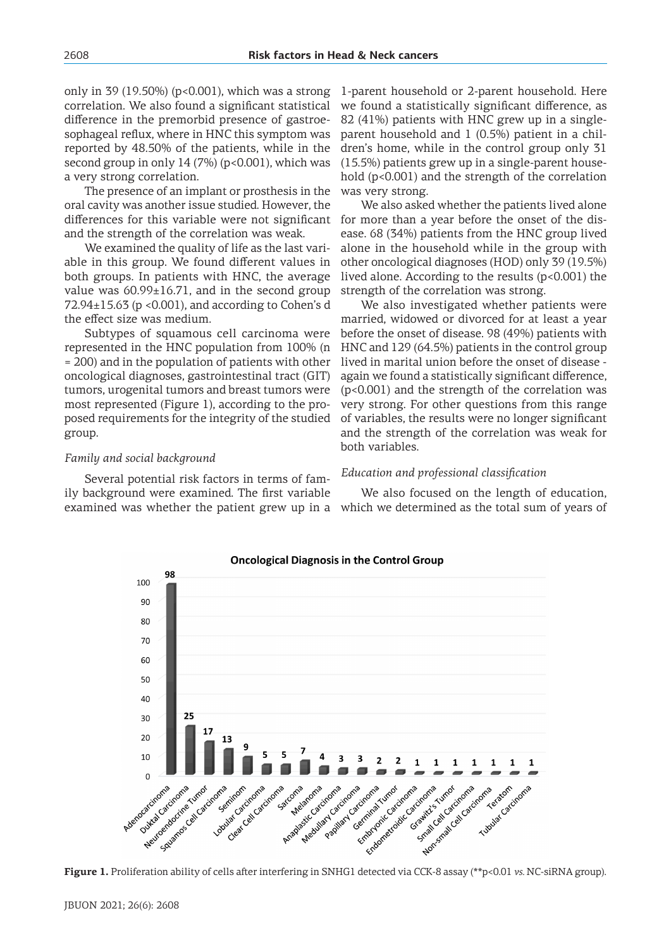only in 39 (19.50%) ( $p<0.001$ ), which was a strong correlation. We also found a significant statistical difference in the premorbid presence of gastroesophageal reflux, where in HNC this symptom was reported by 48.50% of the patients, while in the second group in only  $14(7%)$  (p<0.001), which was a very strong correlation.

The presence of an implant or prosthesis in the oral cavity was another issue studied. However, the differences for this variable were not significant and the strength of the correlation was weak.

We examined the quality of life as the last variable in this group. We found different values in both groups. In patients with HNC, the average value was  $60.99\pm16.71$ , and in the second group  $72.94\pm15.63$  (p <0.001), and according to Cohen's d the effect size was medium.

Subtypes of squamous cell carcinoma were represented in the HNC population from 100% (n = 200) and in the population of patients with other oncological diagnoses, gastrointestinal tract (GIT) tumors, urogenital tumors and breast tumors were most represented (Figure 1), according to the proposed requirements for the integrity of the studied group.

#### *Family and social background*

Several potential risk factors in terms of family background were examined. The first variable examined was whether the patient grew up in a

98

1-parent household or 2-parent household. Here we found a statistically significant difference, as 82 (41%) patients with HNC grew up in a singleparent household and 1 (0.5%) patient in a children's home, while in the control group only 31 (15.5%) patients grew up in a single-parent household (p<0.001) and the strength of the correlation was very strong.

We also asked whether the patients lived alone for more than a year before the onset of the disease. 68 (34%) patients from the HNC group lived alone in the household while in the group with other oncological diagnoses (HOD) only 39 (19.5%) lived alone. According to the results (p<0.001) the strength of the correlation was strong.

We also investigated whether patients were married, widowed or divorced for at least a year before the onset of disease. 98 (49%) patients with HNC and 129 (64.5%) patients in the control group lived in marital union before the onset of disease again we found a statistically significant difference, (p<0.001) and the strength of the correlation was very strong. For other questions from this range of variables, the results were no longer significant and the strength of the correlation was weak for both variables.

#### *Education and professional classification*

We also focused on the length of education, which we determined as the total sum of years of

100  $90$ 80  $70$ 60 50 40  $25$ 30 20 13  $10$ Entrancemental States Figure 1. Proliferation ability of cells after interfering in SNHG1 detected via CCK-8 assay (\*\*p<0.01 *vs.* NC-siRNA group). New Cardinace of Cardinace  $\Omega$ Contraction of the Contraction Marian Cardinal Cardinal Experience of Strategy o discovered according Clear Celibrary Papillar Gentlynds Caetmina Rutos comparative of calcion Society of the Catalogue Lobular Caccional Tubular acatomic Adenocaticoma Arcomes de Cardinary sarcoma

**Oncological Diagnosis in the Control Group**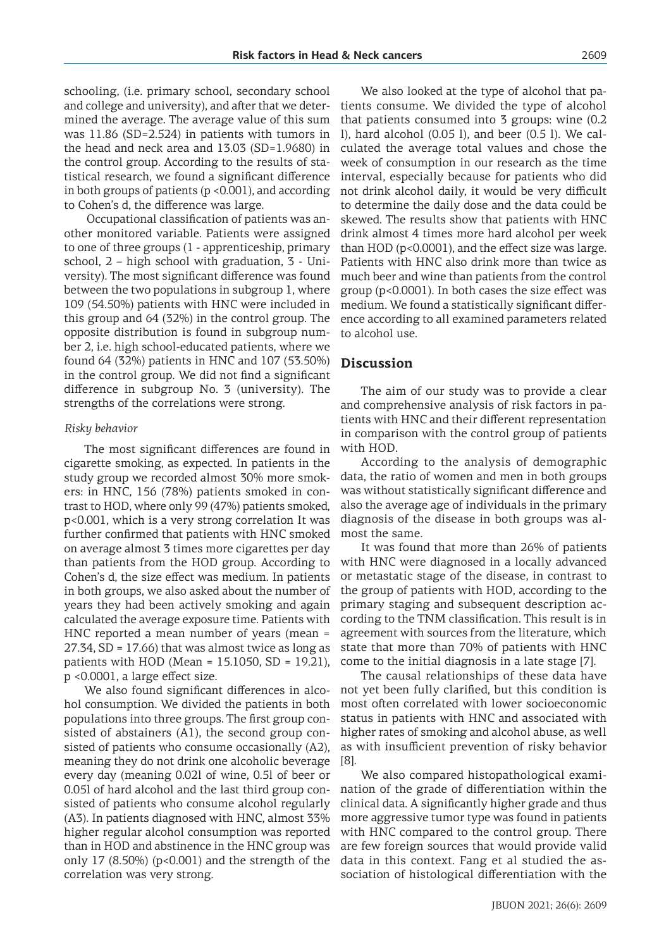schooling, (i.e. primary school, secondary school and college and university), and after that we determined the average. The average value of this sum was 11.86 (SD=2.524) in patients with tumors in the head and neck area and 13.03 (SD=1.9680) in the control group. According to the results of statistical research, we found a significant difference in both groups of patients  $(p \le 0.001)$ , and according to Cohen's d, the difference was large.

Occupational classification of patients was another monitored variable. Patients were assigned to one of three groups (1 - apprenticeship, primary school, 2 – high school with graduation, 3 - University). The most significant difference was found between the two populations in subgroup 1, where 109 (54.50%) patients with HNC were included in this group and 64 (32%) in the control group. The opposite distribution is found in subgroup number 2, i.e. high school-educated patients, where we found 64 (32%) patients in HNC and 107 (53.50%) in the control group. We did not find a significant difference in subgroup No. 3 (university). The strengths of the correlations were strong.

#### *Risky behavior*

The most significant differences are found in cigarette smoking, as expected. In patients in the study group we recorded almost 30% more smokers: in HNC, 156 (78%) patients smoked in contrast to HOD, where only 99 (47%) patients smoked, p<0.001, which is a very strong correlation It was further confirmed that patients with HNC smoked on average almost 3 times more cigarettes per day than patients from the HOD group. According to Cohen's d, the size effect was medium. In patients in both groups, we also asked about the number of years they had been actively smoking and again calculated the average exposure time. Patients with HNC reported a mean number of years (mean =  $27.34$ , SD = 17.66) that was almost twice as long as patients with HOD (Mean = 15.1050, SD = 19.21), p <0.0001, a large effect size.

We also found significant differences in alcohol consumption. We divided the patients in both populations into three groups. The first group consisted of abstainers (A1), the second group consisted of patients who consume occasionally (A2), meaning they do not drink one alcoholic beverage every day (meaning 0.02l of wine, 0.5l of beer or 0.05l of hard alcohol and the last third group consisted of patients who consume alcohol regularly (A3). In patients diagnosed with HNC, almost 33% higher regular alcohol consumption was reported than in HOD and abstinence in the HNC group was only 17  $(8.50\%)$  (p<0.001) and the strength of the correlation was very strong.

We also looked at the type of alcohol that patients consume. We divided the type of alcohol that patients consumed into 3 groups: wine (0.2 l), hard alcohol (0.05 l), and beer (0.5 l). We calculated the average total values and chose the week of consumption in our research as the time interval, especially because for patients who did not drink alcohol daily, it would be very difficult to determine the daily dose and the data could be skewed. The results show that patients with HNC drink almost 4 times more hard alcohol per week than HOD (p<0.0001), and the effect size was large. Patients with HNC also drink more than twice as much beer and wine than patients from the control group (p<0.0001). In both cases the size effect was medium. We found a statistically significant difference according to all examined parameters related to alcohol use.

## **Discussion**

The aim of our study was to provide a clear and comprehensive analysis of risk factors in patients with HNC and their different representation in comparison with the control group of patients with HOD.

According to the analysis of demographic data, the ratio of women and men in both groups was without statistically significant difference and also the average age of individuals in the primary diagnosis of the disease in both groups was almost the same.

It was found that more than 26% of patients with HNC were diagnosed in a locally advanced or metastatic stage of the disease, in contrast to the group of patients with HOD, according to the primary staging and subsequent description according to the TNM classification. This result is in agreement with sources from the literature, which state that more than 70% of patients with HNC come to the initial diagnosis in a late stage [7].

The causal relationships of these data have not yet been fully clarified, but this condition is most often correlated with lower socioeconomic status in patients with HNC and associated with higher rates of smoking and alcohol abuse, as well as with insufficient prevention of risky behavior [8].

We also compared histopathological examination of the grade of differentiation within the clinical data. A significantly higher grade and thus more aggressive tumor type was found in patients with HNC compared to the control group. There are few foreign sources that would provide valid data in this context. Fang et al studied the association of histological differentiation with the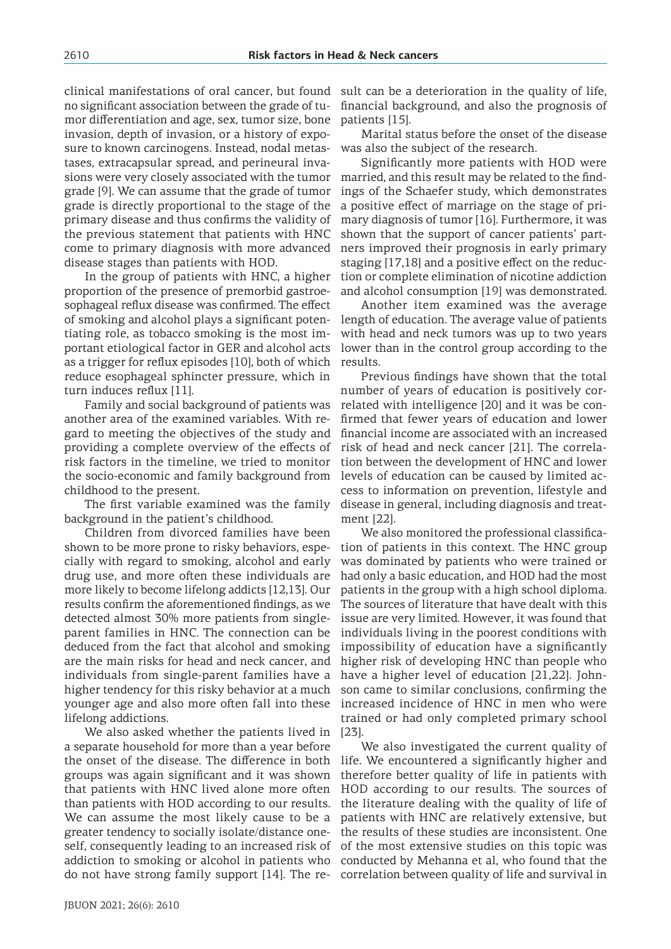patients [15].

clinical manifestations of oral cancer, but found no significant association between the grade of tumor differentiation and age, sex, tumor size, bone invasion, depth of invasion, or a history of exposure to known carcinogens. Instead, nodal metastases, extracapsular spread, and perineural invasions were very closely associated with the tumor grade [9]. We can assume that the grade of tumor grade is directly proportional to the stage of the primary disease and thus confirms the validity of the previous statement that patients with HNC come to primary diagnosis with more advanced disease stages than patients with HOD.

In the group of patients with HNC, a higher proportion of the presence of premorbid gastroesophageal reflux disease was confirmed. The effect of smoking and alcohol plays a significant potentiating role, as tobacco smoking is the most important etiological factor in GER and alcohol acts as a trigger for reflux episodes [10], both of which reduce esophageal sphincter pressure, which in turn induces reflux [11].

Family and social background of patients was another area of the examined variables. With regard to meeting the objectives of the study and providing a complete overview of the effects of risk factors in the timeline, we tried to monitor the socio-economic and family background from childhood to the present.

The first variable examined was the family background in the patient's childhood.

Children from divorced families have been shown to be more prone to risky behaviors, especially with regard to smoking, alcohol and early drug use, and more often these individuals are more likely to become lifelong addicts [12,13]. Our results confirm the aforementioned findings, as we detected almost 30% more patients from singleparent families in HNC. The connection can be deduced from the fact that alcohol and smoking are the main risks for head and neck cancer, and individuals from single-parent families have a higher tendency for this risky behavior at a much younger age and also more often fall into these lifelong addictions.

We also asked whether the patients lived in a separate household for more than a year before the onset of the disease. The difference in both groups was again significant and it was shown that patients with HNC lived alone more often than patients with HOD according to our results. We can assume the most likely cause to be a greater tendency to socially isolate/distance oneself, consequently leading to an increased risk of addiction to smoking or alcohol in patients who do not have strong family support [14]. The re-correlation between quality of life and survival in

lower than in the control group according to the results.

> Previous findings have shown that the total number of years of education is positively correlated with intelligence [20] and it was be confirmed that fewer years of education and lower financial income are associated with an increased risk of head and neck cancer [21]. The correlation between the development of HNC and lower levels of education can be caused by limited access to information on prevention, lifestyle and disease in general, including diagnosis and treatment [22].

> sult can be a deterioration in the quality of life, financial background, and also the prognosis of

was also the subject of the research.

Marital status before the onset of the disease

Significantly more patients with HOD were married, and this result may be related to the findings of the Schaefer study, which demonstrates a positive effect of marriage on the stage of primary diagnosis of tumor [16]. Furthermore, it was shown that the support of cancer patients' partners improved their prognosis in early primary staging [17,18] and a positive effect on the reduction or complete elimination of nicotine addiction and alcohol consumption [19] was demonstrated. Another item examined was the average length of education. The average value of patients with head and neck tumors was up to two years

We also monitored the professional classification of patients in this context. The HNC group was dominated by patients who were trained or had only a basic education, and HOD had the most patients in the group with a high school diploma. The sources of literature that have dealt with this issue are very limited. However, it was found that individuals living in the poorest conditions with impossibility of education have a significantly higher risk of developing HNC than people who have a higher level of education [21,22]. Johnson came to similar conclusions, confirming the increased incidence of HNC in men who were trained or had only completed primary school [23].

We also investigated the current quality of life. We encountered a significantly higher and therefore better quality of life in patients with HOD according to our results. The sources of the literature dealing with the quality of life of patients with HNC are relatively extensive, but the results of these studies are inconsistent. One of the most extensive studies on this topic was conducted by Mehanna et al, who found that the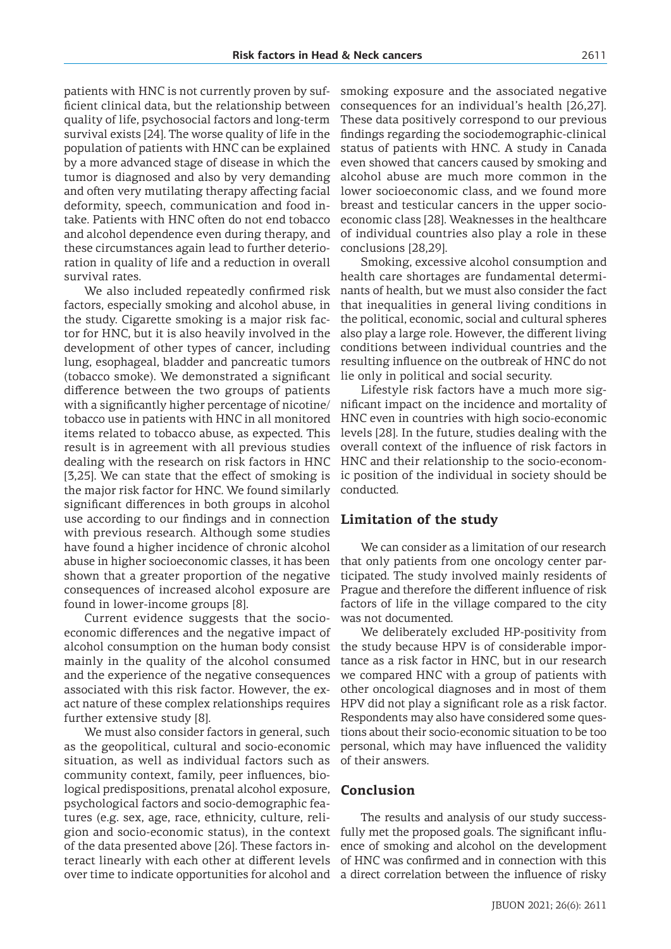patients with HNC is not currently proven by sufficient clinical data, but the relationship between quality of life, psychosocial factors and long-term survival exists [24]. The worse quality of life in the population of patients with HNC can be explained by a more advanced stage of disease in which the tumor is diagnosed and also by very demanding and often very mutilating therapy affecting facial deformity, speech, communication and food intake. Patients with HNC often do not end tobacco and alcohol dependence even during therapy, and these circumstances again lead to further deterioration in quality of life and a reduction in overall survival rates.

We also included repeatedly confirmed risk factors, especially smoking and alcohol abuse, in the study. Cigarette smoking is a major risk factor for HNC, but it is also heavily involved in the development of other types of cancer, including lung, esophageal, bladder and pancreatic tumors (tobacco smoke). We demonstrated a significant difference between the two groups of patients with a significantly higher percentage of nicotine/ tobacco use in patients with HNC in all monitored items related to tobacco abuse, as expected. This result is in agreement with all previous studies dealing with the research on risk factors in HNC [3,25]. We can state that the effect of smoking is the major risk factor for HNC. We found similarly significant differences in both groups in alcohol use according to our findings and in connection with previous research. Although some studies have found a higher incidence of chronic alcohol abuse in higher socioeconomic classes, it has been shown that a greater proportion of the negative consequences of increased alcohol exposure are found in lower-income groups [8].

Current evidence suggests that the socioeconomic differences and the negative impact of alcohol consumption on the human body consist mainly in the quality of the alcohol consumed and the experience of the negative consequences associated with this risk factor. However, the exact nature of these complex relationships requires further extensive study [8].

We must also consider factors in general, such as the geopolitical, cultural and socio-economic situation, as well as individual factors such as community context, family, peer influences, biological predispositions, prenatal alcohol exposure, psychological factors and socio-demographic features (e.g. sex, age, race, ethnicity, culture, religion and socio-economic status), in the context of the data presented above [26]. These factors interact linearly with each other at different levels over time to indicate opportunities for alcohol and a direct correlation between the influence of risky

smoking exposure and the associated negative consequences for an individual's health [26,27]. These data positively correspond to our previous findings regarding the sociodemographic-clinical status of patients with HNC. A study in Canada even showed that cancers caused by smoking and alcohol abuse are much more common in the lower socioeconomic class, and we found more breast and testicular cancers in the upper socioeconomic class [28]. Weaknesses in the healthcare of individual countries also play a role in these conclusions [28,29].

Smoking, excessive alcohol consumption and health care shortages are fundamental determinants of health, but we must also consider the fact that inequalities in general living conditions in the political, economic, social and cultural spheres also play a large role. However, the different living conditions between individual countries and the resulting influence on the outbreak of HNC do not lie only in political and social security.

Lifestyle risk factors have a much more significant impact on the incidence and mortality of HNC even in countries with high socio-economic levels [28]. In the future, studies dealing with the overall context of the influence of risk factors in HNC and their relationship to the socio-economic position of the individual in society should be conducted.

## **Limitation of the study**

We can consider as a limitation of our research that only patients from one oncology center participated. The study involved mainly residents of Prague and therefore the different influence of risk factors of life in the village compared to the city was not documented.

We deliberately excluded HP-positivity from the study because HPV is of considerable importance as a risk factor in HNC, but in our research we compared HNC with a group of patients with other oncological diagnoses and in most of them HPV did not play a significant role as a risk factor. Respondents may also have considered some questions about their socio-economic situation to be too personal, which may have influenced the validity of their answers.

#### **Conclusion**

The results and analysis of our study successfully met the proposed goals. The significant influence of smoking and alcohol on the development of HNC was confirmed and in connection with this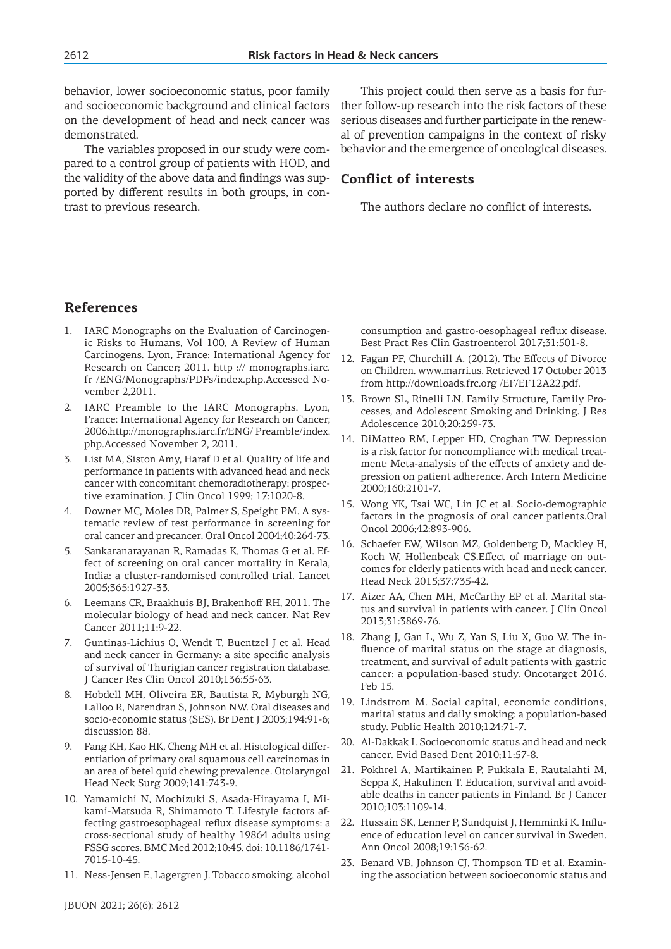behavior, lower socioeconomic status, poor family and socioeconomic background and clinical factors on the development of head and neck cancer was demonstrated.

The variables proposed in our study were compared to a control group of patients with HOD, and the validity of the above data and findings was supported by different results in both groups, in contrast to previous research.

This project could then serve as a basis for further follow-up research into the risk factors of these serious diseases and further participate in the renewal of prevention campaigns in the context of risky behavior and the emergence of oncological diseases.

## **Conflict of interests**

The authors declare no conflict of interests.

## **References**

- 1. IARC Monographs on the Evaluation of Carcinogenic Risks to Humans, Vol 100, A Review of Human Carcinogens. Lyon, France: International Agency for Research on Cancer; 2011. http :// monographs.iarc. fr /ENG/Monographs/PDFs/index.php.Accessed November 2,2011.
- 2. IARC Preamble to the IARC Monographs. Lyon, France: International Agency for Research on Cancer; 2006.http://monographs.iarc.fr/ENG/ Preamble/index. php.Accessed November 2, 2011.
- 3. List MA, Siston Amy, Haraf D et al. Quality of life and performance in patients with advanced head and neck cancer with concomitant chemoradiotherapy: prospective examination. J Clin Oncol 1999; 17:1020-8.
- 4. Downer MC, Moles DR, Palmer S, Speight PM. A systematic review of test performance in screening for oral cancer and precancer. Oral Oncol 2004;40:264-73.
- 5. Sankaranarayanan R, Ramadas K, Thomas G et al. Effect of screening on oral cancer mortality in Kerala, India: a cluster-randomised controlled trial. Lancet 2005;365:1927-33.
- 6. Leemans CR, Braakhuis BJ, Brakenhoff RH, 2011. The molecular biology of head and neck cancer. Nat Rev Cancer 2011;11:9-22.
- 7. Guntinas-Lichius O, Wendt T, Buentzel J et al. Head and neck cancer in Germany: a site specific analysis of survival of Thurigian cancer registration database. J Cancer Res Clin Oncol 2010;136:55-63.
- 8. Hobdell MH, Oliveira ER, Bautista R, Myburgh NG, Lalloo R, Narendran S, Johnson NW. Oral diseases and socio-economic status (SES). Br Dent J 2003;194:91-6; discussion 88.
- 9. Fang KH, Kao HK, Cheng MH et al. Histological differentiation of primary oral squamous cell carcinomas in an area of betel quid chewing prevalence. Otolaryngol Head Neck Surg 2009;141:743-9.
- 10. Yamamichi N, Mochizuki S, Asada-Hirayama I, Mikami-Matsuda R, Shimamoto T. Lifestyle factors affecting gastroesophageal reflux disease symptoms: a cross-sectional study of healthy 19864 adults using FSSG scores. BMC Med 2012;10:45. doi: 10.1186/1741- 7015-10-45.
- 11. Ness-Jensen E, Lagergren J. Tobacco smoking, alcohol

consumption and gastro-oesophageal reflux disease. Best Pract Res Clin Gastroenterol 2017;31:501-8.

- 12. Fagan PF, Churchill A. (2012). The Effects of Divorce on Children. www.marri.us. Retrieved 17 October 2013 from http://downloads.frc.org /EF/EF12A22.pdf.
- 13. Brown SL, Rinelli LN. Family Structure, Family Processes, and Adolescent Smoking and Drinking. J Res Adolescence 2010;20:259-73.
- 14. DiMatteo RM, Lepper HD, Croghan TW. Depression is a risk factor for noncompliance with medical treatment: Meta-analysis of the effects of anxiety and depression on patient adherence. Arch Intern Medicine 2000;160:2101-7.
- 15. Wong YK, Tsai WC, Lin JC et al. Socio-demographic factors in the prognosis of oral cancer patients.Oral Oncol 2006;42:893-906.
- 16. Schaefer EW, Wilson MZ, Goldenberg D, Mackley H, Koch W, Hollenbeak CS.Effect of marriage on outcomes for elderly patients with head and neck cancer. Head Neck 2015;37:735-42.
- 17. Aizer AA, Chen MH, McCarthy EP et al. Marital status and survival in patients with cancer. J Clin Oncol 2013;31:3869-76.
- 18. Zhang J, Gan L, Wu Z, Yan S, Liu X, Guo W. The influence of marital status on the stage at diagnosis, treatment, and survival of adult patients with gastric cancer: a population-based study. Oncotarget 2016. Feb 15.
- 19. Lindstrom M. Social capital, economic conditions, marital status and daily smoking: a population-based study. Public Health 2010;124:71-7.
- 20. Al-Dakkak I. Socioeconomic status and head and neck cancer. Evid Based Dent 2010;11:57-8.
- 21. Pokhrel A, Martikainen P, Pukkala E, Rautalahti M, Seppa K, Hakulinen T. Education, survival and avoidable deaths in cancer patients in Finland. Br J Cancer 2010;103:1109-14.
- 22. Hussain SK, Lenner P, Sundquist J, Hemminki K. Influence of education level on cancer survival in Sweden. Ann Oncol 2008;19:156-62.
- 23. Benard VB, Johnson CJ, Thompson TD et al. Examining the association between socioeconomic status and